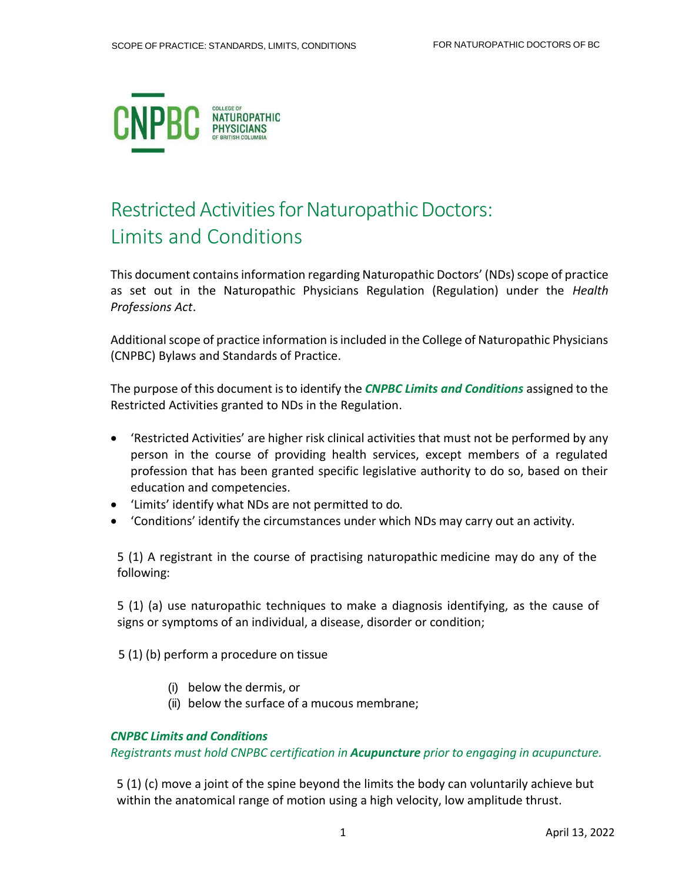

# Restricted Activities for Naturopathic Doctors: Limits and Conditions

This document contains information regarding Naturopathic Doctors' (NDs) scope of practice as set out in the Naturopathic Physicians Regulation (Regulation) under the *Health Professions Act*.

Additional scope of practice information is included in the College of Naturopathic Physicians (CNPBC) Bylaws and Standards of Practice.

The purpose of this document isto identify the *CNPBC Limits and Conditions* assigned to the Restricted Activities granted to NDs in the Regulation.

- 'Restricted Activities' are higher risk clinical activities that must not be performed by any person in the course of providing health services, except members of a regulated profession that has been granted specific legislative authority to do so, based on their education and competencies.
- 'Limits' identify what NDs are not permitted to do.
- 'Conditions' identify the circumstances under which NDs may carry out an activity.

5 (1) A registrant in the course of practising naturopathic medicine may do any of the following:

5 (1) (a) use naturopathic techniques to make a diagnosis identifying, as the cause of signs or symptoms of an individual, a disease, disorder or condition;

5 (1) (b) perform a procedure on tissue

- (i) below the dermis, or
- (ii) below the surface of a mucous membrane;

## *CNPBC Limits and Conditions*

*Registrants must hold CNPBC certification in Acupuncture prior to engaging in acupuncture.*

5 (1) (c) move a joint of the spine beyond the limits the body can voluntarily achieve but within the anatomical range of motion using a high velocity, low amplitude thrust.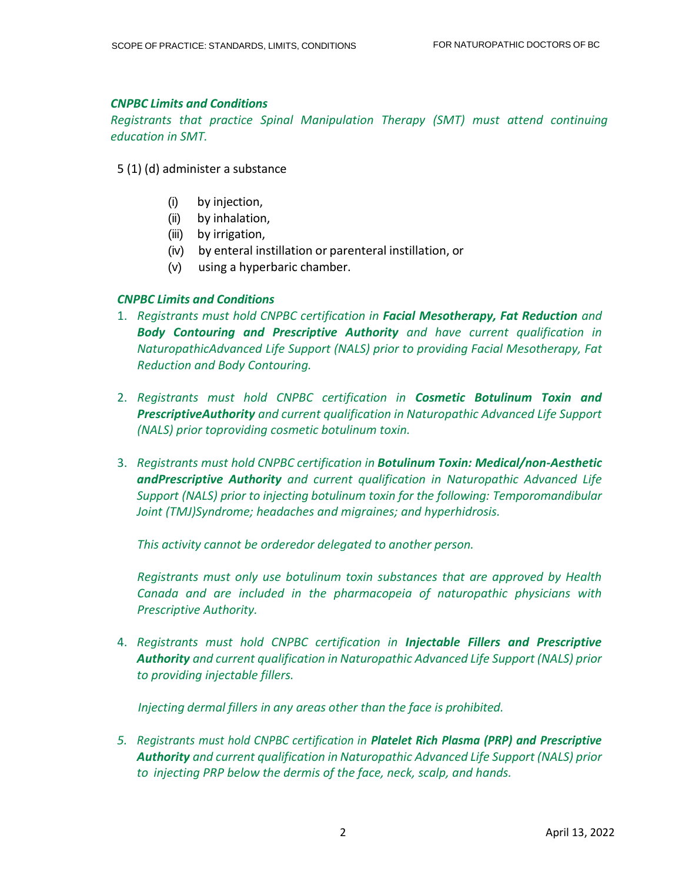## *CNPBC Limits and Conditions*

*Registrants that practice Spinal Manipulation Therapy (SMT) must attend continuing education in SMT.*

- 5 (1) (d) administer a substance
	- (i) by injection,
	- (ii) by inhalation,
	- (iii) by irrigation,
	- (iv) by enteral instillation or parenteral instillation, or
	- (v) using a hyperbaric chamber.

## *CNPBC Limits and Conditions*

- 1. *Registrants must hold CNPBC certification in Facial Mesotherapy, Fat Reduction and Body Contouring and Prescriptive Authority and have current qualification in NaturopathicAdvanced Life Support (NALS) prior to providing Facial Mesotherapy, Fat Reduction and Body Contouring.*
- 2. *Registrants must hold CNPBC certification in Cosmetic Botulinum Toxin and PrescriptiveAuthority and current qualification in Naturopathic Advanced Life Support (NALS) prior toproviding cosmetic botulinum toxin.*
- 3. *Registrants must hold CNPBC certification in Botulinum Toxin: Medical/non-Aesthetic andPrescriptive Authority and current qualification in Naturopathic Advanced Life Support (NALS) prior to injecting botulinum toxin for the following: Temporomandibular Joint (TMJ)Syndrome; headaches and migraines; and hyperhidrosis.*

*This activity cannot be orderedor delegated to another person.*

*Registrants must only use botulinum toxin substances that are approved by Health Canada and are included in the pharmacopeia of naturopathic physicians with Prescriptive Authority.*

4. *Registrants must hold CNPBC certification in Injectable Fillers and Prescriptive Authority and current qualification in Naturopathic Advanced Life Support (NALS) prior to providing injectable fillers.*

*Injecting dermal fillers in any areas other than the face is prohibited.*

*5. Registrants must hold CNPBC certification in Platelet Rich Plasma (PRP) and Prescriptive Authority and current qualification in Naturopathic Advanced Life Support (NALS) prior to injecting PRP below the dermis of the face, neck, scalp, and hands.*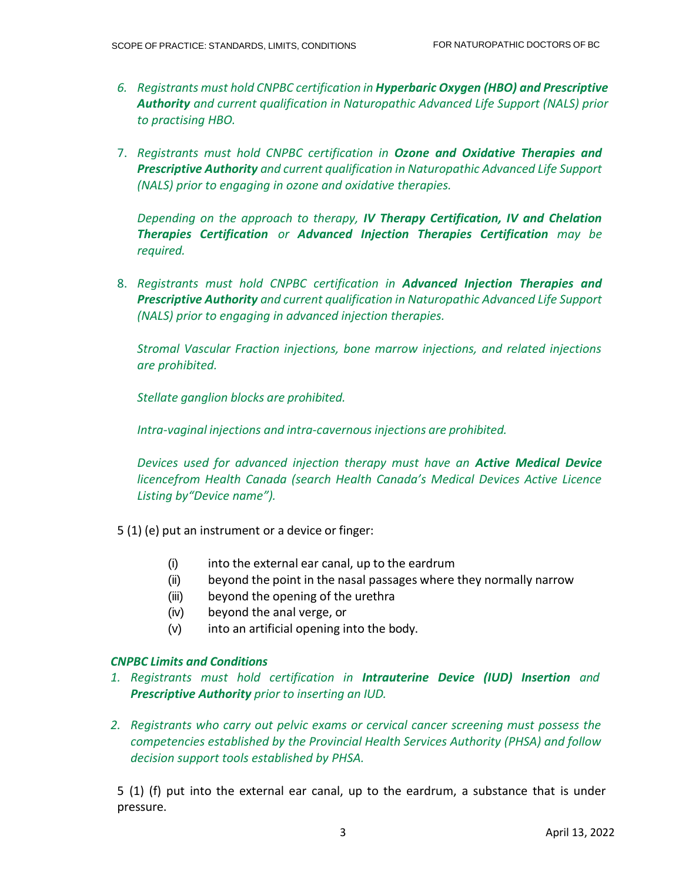- *6. Registrants must hold CNPBC certification in Hyperbaric Oxygen (HBO) and Prescriptive Authority and current qualification in Naturopathic Advanced Life Support (NALS) prior to practising HBO.*
- 7. *Registrants must hold CNPBC certification in Ozone and Oxidative Therapies and Prescriptive Authority and current qualification in Naturopathic Advanced Life Support (NALS) prior to engaging in ozone and oxidative therapies.*

*Depending on the approach to therapy, IV Therapy Certification, IV and Chelation Therapies Certification or Advanced Injection Therapies Certification may be required.*

8. *Registrants must hold CNPBC certification in Advanced Injection Therapies and Prescriptive Authority and current qualification in Naturopathic Advanced Life Support (NALS) prior to engaging in advanced injection therapies.*

*Stromal Vascular Fraction injections, bone marrow injections, and related injections are prohibited.*

*Stellate ganglion blocks are prohibited.*

*Intra-vaginal injections and intra-cavernous injections are prohibited.*

*Devices used for advanced injection therapy must have an Active Medical Device licencefrom Health Canada (search Health Canada's Medical Devices Active Licence Listing by"Device name").*

5 (1) (e) put an instrument or a device or finger:

- (i) into the external ear canal, up to the eardrum
- (ii) beyond the point in the nasal passages where they normally narrow
- (iii) beyond the opening of the urethra
- (iv) beyond the anal verge, or
- (v) into an artificial opening into the body.

## *CNPBC Limits and Conditions*

- *1. Registrants must hold certification in Intrauterine Device (IUD) Insertion and Prescriptive Authority prior to inserting an IUD.*
- *2. Registrants who carry out pelvic exams or cervical cancer screening must possess the competencies established by the Provincial Health Services Authority (PHSA) and follow decision support tools established by PHSA.*

5 (1) (f) put into the external ear canal, up to the eardrum, a substance that is under pressure.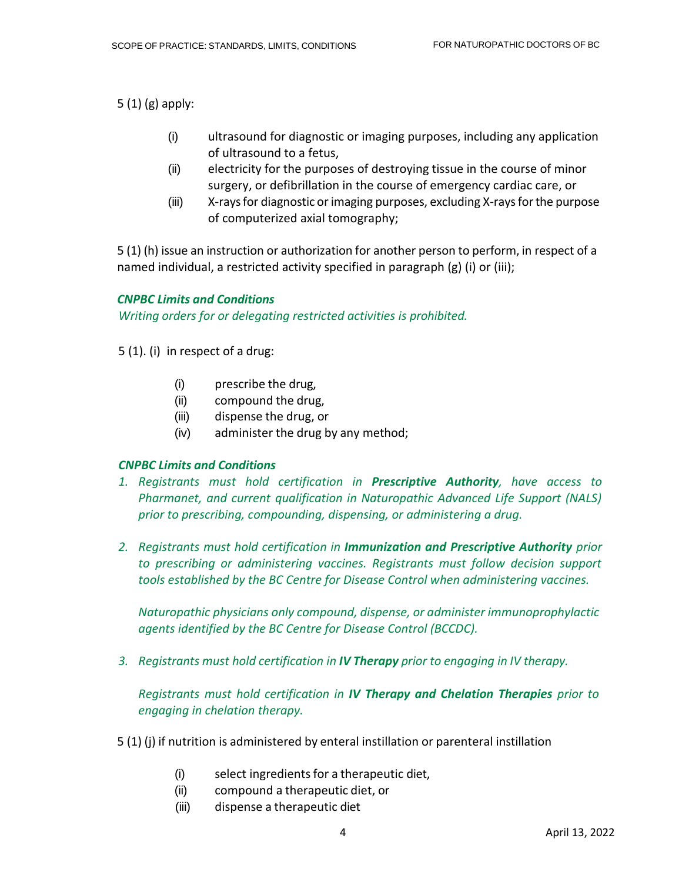5 (1) (g) apply:

- (i) ultrasound for diagnostic or imaging purposes, including any application of ultrasound to a fetus,
- (ii) electricity for the purposes of destroying tissue in the course of minor surgery, or defibrillation in the course of emergency cardiac care, or
- (iii) X-raysfor diagnostic orimaging purposes, excluding X-raysforthe purpose of computerized axial tomography;

5 (1) (h) issue an instruction or authorization for another person to perform, in respect of a named individual, a restricted activity specified in paragraph (g) (i) or (iii);

## *CNPBC Limits and Conditions Writing orders for or delegating restricted activities is prohibited.*

## 5 (1). (i) in respect of a drug:

- (i) prescribe the drug,
- (ii) compound the drug,
- (iii) dispense the drug, or
- (iv) administer the drug by any method;

## *CNPBC Limits and Conditions*

- *1. Registrants must hold certification in Prescriptive Authority, have access to Pharmanet, and current qualification in Naturopathic Advanced Life Support (NALS) prior to prescribing, compounding, dispensing, or administering a drug.*
- *2. Registrants must hold certification in Immunization and Prescriptive Authority prior to prescribing or administering vaccines. Registrants must follow decision support tools established by the BC Centre for Disease Control when administering vaccines.*

*Naturopathic physicians only compound, dispense, or administer immunoprophylactic agents identified by the BC Centre for Disease Control (BCCDC).*

*3. Registrants must hold certification in IV Therapy prior to engaging in IV therapy.*

*Registrants must hold certification in IV Therapy and Chelation Therapies prior to engaging in chelation therapy.*

- 5 (1) (j) if nutrition is administered by enteral instillation or parenteral instillation
	- (i) select ingredientsfor a therapeutic diet,
	- (ii) compound a therapeutic diet, or
	- (iii) dispense a therapeutic diet